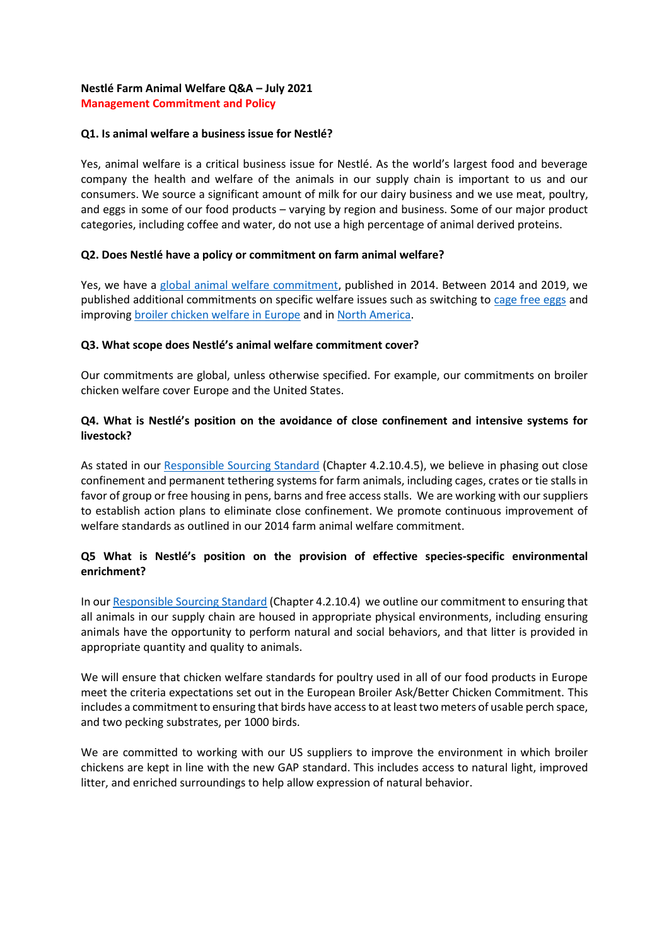### **Nestlé Farm Animal Welfare Q&A – July 2021 Management Commitment and Policy**

### **Q1. Is animal welfare a business issue for Nestlé?**

Yes, animal welfare is a critical business issue for Nestlé. As the world's largest food and beverage company the health and welfare of the animals in our supply chain is important to us and our consumers. We source a significant amount of milk for our dairy business and we use meat, poultry, and eggs in some of our food products – varying by region and business. Some of our major product categories, including coffee and water, do not use a high percentage of animal derived proteins.

### **Q2. Does Nestlé have a policy or commitment on farm animal welfare?**

Yes, we have a [global animal welfare commitment,](https://www.nestle.com/asset-library/documents/creating%20shared%20value/rural_development/nestle-commitment-farm-animal-welfare.pdf) published in 2014. Between 2014 and 2019, we published additional commitments on specific welfare issues such as switching to [cage free eggs](https://www.nestle.com/asset-library/documents/creating-shared-value/facts-figures-leaflet/nestle-cage-free-eggs-2025.pdf) and improvin[g broiler chicken welfare in Europe](https://www.nestle.com/media/news/higher-chicken-welfare-standards-europe) and in [North America.](https://www.nestleusa.com/media/pressreleases/animal-welfare-broiler-chicken-commitment)

#### **Q3. What scope does Nestlé's animal welfare commitment cover?**

Our commitments are global, unless otherwise specified. For example, our commitments on broiler chicken welfare cover Europe and the United States.

### **Q4. What is Nestlé's position on the avoidance of close confinement and intensive systems for livestock?**

As stated in our [Responsible Sourcing Standard](https://www.nestle.com/asset-library/documents/library/documents/suppliers/nestle-responsible-sourcing-standard-english.pdf) (Chapter 4.2.10.4.5), we believe in phasing out close confinement and permanent tethering systems for farm animals, including cages, crates or tie stalls in favor of group or free housing in pens, barns and free access stalls. We are working with our suppliers to establish action plans to eliminate close confinement. We promote continuous improvement of welfare standards as outlined in our 2014 farm animal welfare commitment.

### **Q5 What is Nestlé's position on the provision of effective species-specific environmental enrichment?**

In ou[r Responsible Sourcing Standard](https://www.nestle.com/sites/default/files/asset-library/documents/library/documents/suppliers/nestle-responsible-sourcing-standard-english.pdf) (Chapter 4.2.10.4) we outline our commitment to ensuring that all animals in our supply chain are housed in appropriate physical environments, including ensuring animals have the opportunity to perform natural and social behaviors, and that litter is provided in appropriate quantity and quality to animals.

We will ensure that chicken welfare standards for poultry used in all of our food products in Europe meet the criteria expectations set out in the European Broiler Ask/Better Chicken Commitment. This includes a commitment to ensuring that birds have access to at least two meters of usable perch space, and two pecking substrates, per 1000 birds.

We are committed to working with our US suppliers to improve the environment in which broiler chickens are kept in line with the new GAP standard. This includes access to natural light, improved litter, and enriched surroundings to help allow expression of natural behavior.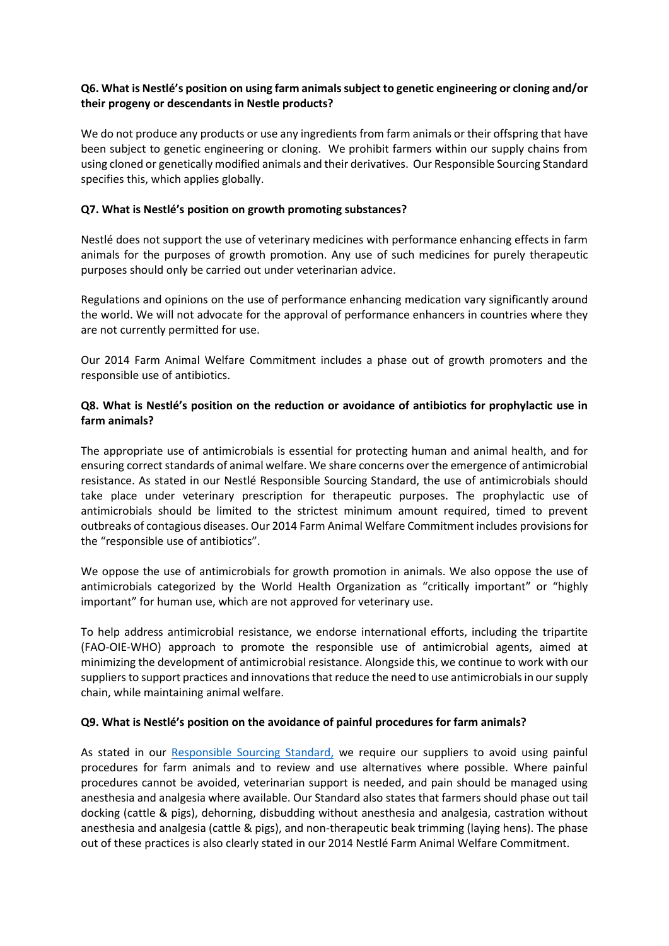### **Q6. What is Nestlé's position on using farm animals subject to genetic engineering or cloning and/or their progeny or descendants in Nestle products?**

We do not produce any products or use any ingredients from farm animals or their offspring that have been subject to genetic engineering or cloning. We prohibit farmers within our supply chains from using cloned or genetically modified animals and their derivatives. Our Responsible Sourcing Standard specifies this, which applies globally.

### **Q7. What is Nestlé's position on growth promoting substances?**

Nestlé does not support the use of veterinary medicines with performance enhancing effects in farm animals for the purposes of growth promotion. Any use of such medicines for purely therapeutic purposes should only be carried out under veterinarian advice.

Regulations and opinions on the use of performance enhancing medication vary significantly around the world. We will not advocate for the approval of performance enhancers in countries where they are not currently permitted for use.

Our 2014 Farm Animal Welfare Commitment includes a phase out of growth promoters and the responsible use of antibiotics.

# **Q8. What is Nestlé's position on the reduction or avoidance of antibiotics for prophylactic use in farm animals?**

The appropriate use of antimicrobials is essential for protecting human and animal health, and for ensuring correct standards of animal welfare. We share concerns over the emergence of antimicrobial resistance. As stated in our Nestlé Responsible Sourcing Standard, the use of antimicrobials should take place under veterinary prescription for therapeutic purposes. The prophylactic use of antimicrobials should be limited to the strictest minimum amount required, timed to prevent outbreaks of contagious diseases. Our 2014 Farm Animal Welfare Commitment includes provisions for the "responsible use of antibiotics".

We oppose the use of antimicrobials for growth promotion in animals. We also oppose the use of antimicrobials categorized by the World Health Organization as "critically important" or "highly important" for human use, which are not approved for veterinary use.

To help address antimicrobial resistance, we endorse international efforts, including the tripartite (FAO-OIE-WHO) approach to promote the responsible use of antimicrobial agents, aimed at minimizing the development of antimicrobial resistance. Alongside this, we continue to work with our suppliers to support practices and innovations that reduce the need to use antimicrobials in our supply chain, while maintaining animal welfare.

#### **Q9. What is Nestlé's position on the avoidance of painful procedures for farm animals?**

As stated in our [Responsible Sourcing Standard,](https://www.nestle.com/asset-library/documents/library/documents/suppliers/nestle-responsible-sourcing-standard-english.pdf) we require our suppliers to avoid using painful procedures for farm animals and to review and use alternatives where possible. Where painful procedures cannot be avoided, veterinarian support is needed, and pain should be managed using anesthesia and analgesia where available. Our Standard also states that farmers should phase out tail docking (cattle & pigs), dehorning, disbudding without anesthesia and analgesia, castration without anesthesia and analgesia (cattle & pigs), and non-therapeutic beak trimming (laying hens). The phase out of these practices is also clearly stated in our 2014 Nestlé Farm Animal Welfare Commitment.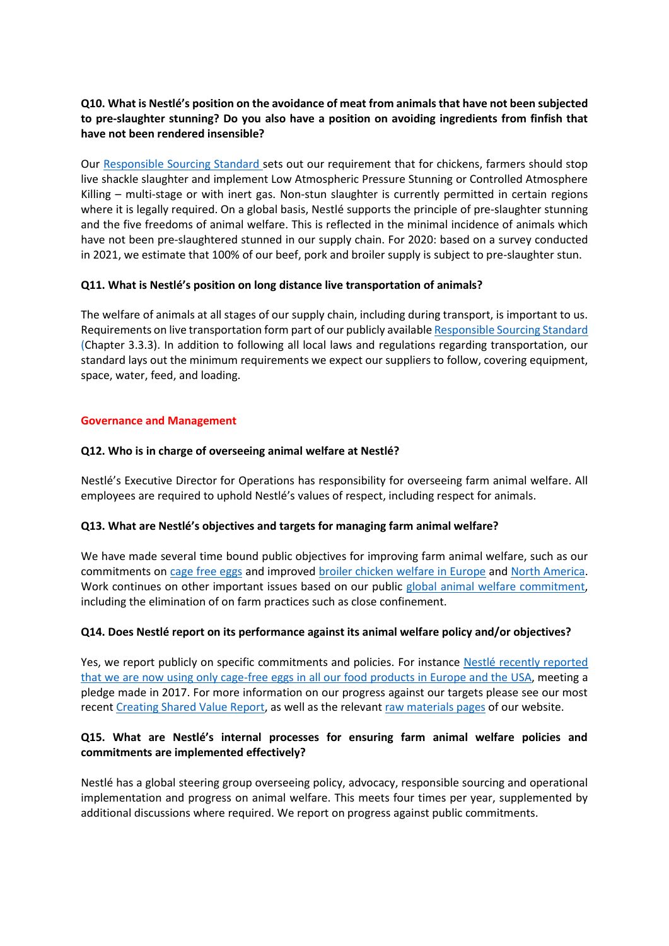# **Q10. What is Nestlé's position on the avoidance of meat from animals that have not been subjected to pre-slaughter stunning? Do you also have a position on avoiding ingredients from finfish that have not been rendered insensible?**

Our [Responsible Sourcing Standard](https://www.nestle.com/asset-library/documents/library/documents/suppliers/nestle-responsible-sourcing-standard-english.pdf) sets out our requirement that for chickens, farmers should stop live shackle slaughter and implement Low Atmospheric Pressure Stunning or Controlled Atmosphere Killing – multi-stage or with inert gas. Non-stun slaughter is currently permitted in certain regions where it is legally required. On a global basis, Nestlé supports the principle of pre-slaughter stunning and the five freedoms of animal welfare. This is reflected in the minimal incidence of animals which have not been pre-slaughtered stunned in our supply chain. For 2020: based on a survey conducted in 2021, we estimate that 100% of our beef, pork and broiler supply is subject to pre-slaughter stun.

### **Q11. What is Nestlé's position on long distance live transportation of animals?**

The welfare of animals at all stages of our supply chain, including during transport, is important to us. Requirements on live transportation form part of our publicly availabl[e Responsible Sourcing Standard](https://www.nestle.com/asset-library/documents/library/documents/suppliers/nestle-responsible-sourcing-standard-english.pdf) (Chapter 3.3.3). In addition to following all local laws and regulations regarding transportation, our standard lays out the minimum requirements we expect our suppliers to follow, covering equipment, space, water, feed, and loading.

### **Governance and Management**

### **Q12. Who is in charge of overseeing animal welfare at Nestlé?**

Nestlé's Executive Director for Operations has responsibility for overseeing farm animal welfare. All employees are required to uphold Nestlé's values of respect, including respect for animals.

#### **Q13. What are Nestlé's objectives and targets for managing farm animal welfare?**

We have made several time bound public objectives for improving farm animal welfare, such as our commitments on [cage free eggs](https://www.nestle.com/asset-library/documents/creating-shared-value/facts-figures-leaflet/nestle-cage-free-eggs-2025.pdf) and improve[d broiler chicken welfare in Europe](https://www.nestle.com/media/news/higher-chicken-welfare-standards-europe) an[d North America.](https://www.nestleusa.com/media/pressreleases/animal-welfare-broiler-chicken-commitment) Work continues on other important issues based on our public [global animal welfare commitment,](https://www.nestle.com/asset-library/documents/creating%20shared%20value/rural_development/nestle-commitment-farm-animal-welfare.pdf) including the elimination of on farm practices such as close confinement.

#### **Q14. Does Nestlé report on its performance against its animal welfare policy and/or objectives?**

Yes, we report publicly on specific commitments and policies. For instance [Nestlé recently reported](https://www.nestle.com/media/news/nestle-joins-eu-cage-free-egg-call)  [that we are now using only cage-free eggs in all our](https://www.nestle.com/media/news/nestle-joins-eu-cage-free-egg-call) food products in Europe and the USA, meeting a pledge made in 2017. For more information on our progress against our targets please see our most recen[t Creating Shared Value Report,](https://www.nestle.com/sites/default/files/2021-03/creating-shared-value-report-2020-en.pdf) as well as the relevan[t raw materials pages](https://www.nestle.com/csv/responsible-sourcing-raw-materials) of our website.

# **Q15. What are Nestlé's internal processes for ensuring farm animal welfare policies and commitments are implemented effectively?**

Nestlé has a global steering group overseeing policy, advocacy, responsible sourcing and operational implementation and progress on animal welfare. This meets four times per year, supplemented by additional discussions where required. We report on progress against public commitments.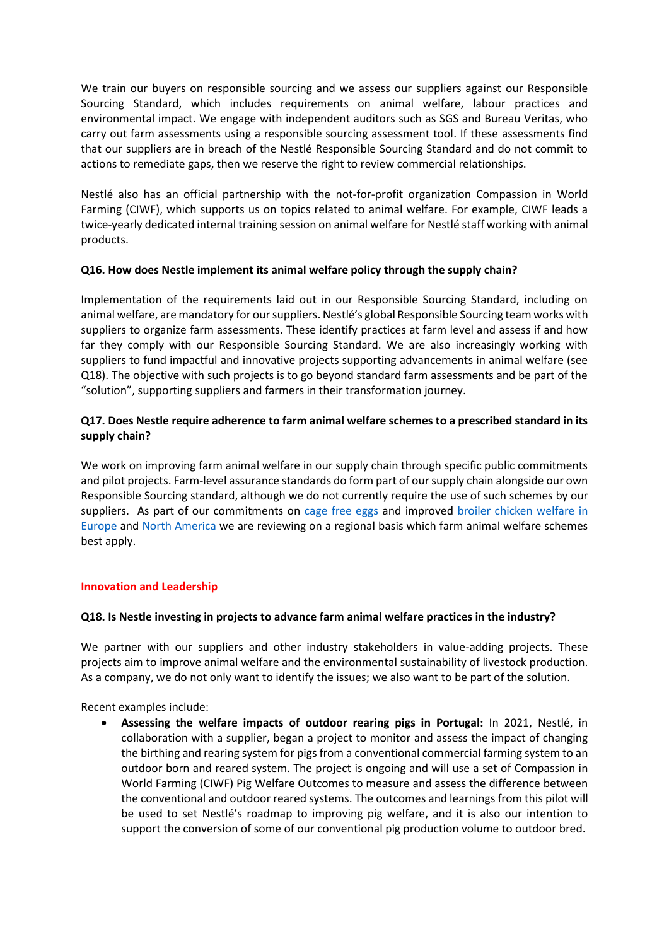We train our buyers on responsible sourcing and we assess our suppliers against our Responsible Sourcing Standard, which includes requirements on animal welfare, labour practices and environmental impact. We engage with independent auditors such as SGS and Bureau Veritas, who carry out farm assessments using a responsible sourcing assessment tool. If these assessments find that our suppliers are in breach of the Nestlé Responsible Sourcing Standard and do not commit to actions to remediate gaps, then we reserve the right to review commercial relationships.

Nestlé also has an official partnership with the not-for-profit organization Compassion in World Farming (CIWF), which supports us on topics related to animal welfare. For example, CIWF leads a twice-yearly dedicated internal training session on animal welfare for Nestlé staff working with animal products.

### **Q16. How does Nestle implement its animal welfare policy through the supply chain?**

Implementation of the requirements laid out in our Responsible Sourcing Standard, including on animal welfare, are mandatory for our suppliers. Nestlé's global Responsible Sourcing team works with suppliers to organize farm assessments. These identify practices at farm level and assess if and how far they comply with our Responsible Sourcing Standard. We are also increasingly working with suppliers to fund impactful and innovative projects supporting advancements in animal welfare (see Q18). The objective with such projects is to go beyond standard farm assessments and be part of the "solution", supporting suppliers and farmers in their transformation journey.

# **Q17. Does Nestle require adherence to farm animal welfare schemes to a prescribed standard in its supply chain?**

We work on improving farm animal welfare in our supply chain through specific public commitments and pilot projects. Farm-level assurance standards do form part of our supply chain alongside our own Responsible Sourcing standard, although we do not currently require the use of such schemes by our suppliers. As part of our commitments on [cage free eggs](https://www.nestle.com/asset-library/documents/creating-shared-value/facts-figures-leaflet/nestle-cage-free-eggs-2025.pdf) and improved broiler chicken welfare in [Europe](https://www.nestle.com/media/news/higher-chicken-welfare-standards-europe) and [North America](https://www.nestleusa.com/media/pressreleases/animal-welfare-broiler-chicken-commitment) we are reviewing on a regional basis which farm animal welfare schemes best apply.

#### **Innovation and Leadership**

# **Q18. Is Nestle investing in projects to advance farm animal welfare practices in the industry?**

We partner with our suppliers and other industry stakeholders in value-adding projects. These projects aim to improve animal welfare and the environmental sustainability of livestock production. As a company, we do not only want to identify the issues; we also want to be part of the solution.

Recent examples include:

• **Assessing the welfare impacts of outdoor rearing pigs in Portugal:** In 2021, Nestlé, in collaboration with a supplier, began a project to monitor and assess the impact of changing the birthing and rearing system for pigs from a conventional commercial farming system to an outdoor born and reared system. The project is ongoing and will use a set of Compassion in World Farming (CIWF) Pig Welfare Outcomes to measure and assess the difference between the conventional and outdoor reared systems. The outcomes and learnings from this pilot will be used to set Nestlé's roadmap to improving pig welfare, and it is also our intention to support the conversion of some of our conventional pig production volume to outdoor bred.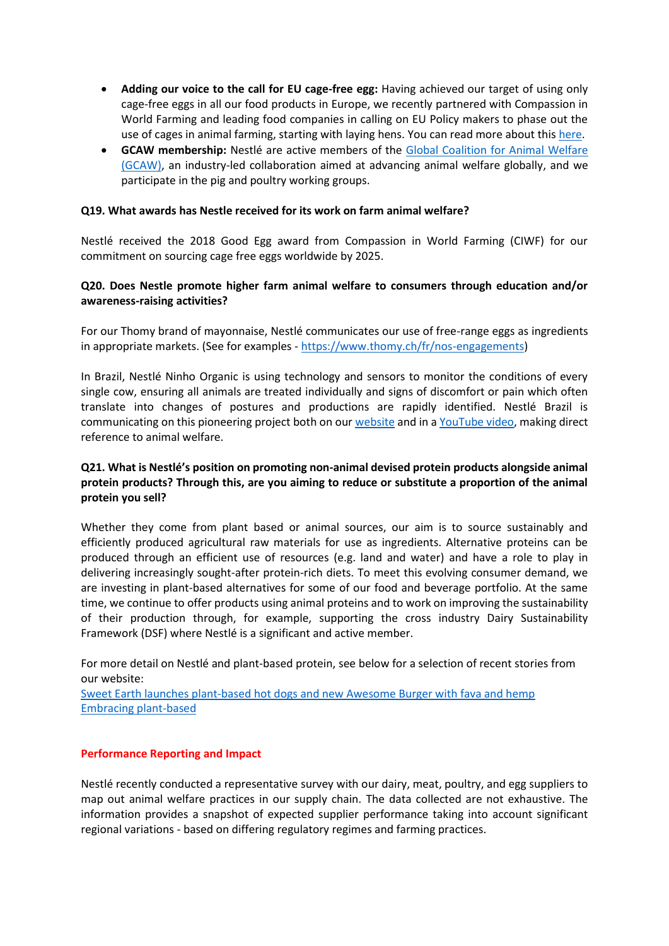- **Adding our voice to the call for EU cage-free egg:** Having achieved our target of using only cage-free eggs in all our food products in Europe, we recently partnered with Compassion in World Farming and leading food companies in calling on EU Policy makers to phase out the use of cages in animal farming, starting with laying hens. You can read more about this [here.](https://www.nestle.com/media/news/nestle-joins-eu-cage-free-egg-call)
- **GCAW membership:** Nestlé are active members of the [Global Coalition for Animal Welfare](https://www.gc-animalwelfare.org/)  [\(GCAW\),](https://www.gc-animalwelfare.org/) an industry-led collaboration aimed at advancing animal welfare globally, and we participate in the pig and poultry working groups.

#### **Q19. What awards has Nestle received for its work on farm animal welfare?**

Nestlé received the 2018 Good Egg award from Compassion in World Farming (CIWF) for our commitment on sourcing cage free eggs worldwide by 2025.

#### **Q20. Does Nestle promote higher farm animal welfare to consumers through education and/or awareness-raising activities?**

For our Thomy brand of mayonnaise, Nestlé communicates our use of free-range eggs as ingredients in appropriate markets. (See for examples - [https://www.thomy.ch/fr/nos-engagements\)](https://www.thomy.ch/fr/nos-engagements)

In Brazil, Nestlé Ninho Organic is using technology and sensors to monitor the conditions of every single cow, ensuring all animals are treated individually and signs of discomfort or pain which often translate into changes of postures and productions are rapidly identified. Nestlé Brazil is communicating on this pioneering project both on our [website](https://www.ninho.com.br/produtos/ninho-organico) and in a [YouTube](https://www.youtube.com/watch?v=Km9x9TnkdKc) video, making direct reference to animal welfare.

# **Q21. What is Nestlé's position on promoting non-animal devised protein products alongside animal protein products? Through this, are you aiming to reduce or substitute a proportion of the animal protein you sell?**

Whether they come from plant based or animal sources, our aim is to source sustainably and efficiently produced agricultural raw materials for use as ingredients. Alternative proteins can be produced through an efficient use of resources (e.g. land and water) and have a role to play in delivering increasingly sought-after protein-rich diets. To meet this evolving consumer demand, we are investing in plant-based alternatives for some of our food and beverage portfolio. At the same time, we continue to offer products using animal proteins and to work on improving the sustainability of their production through, for example, supporting the cross industry Dairy Sustainability Framework (DSF) where Nestlé is a significant and active member.

For more detail on Nestlé and plant-based protein, see below for a selection of recent stories from our website:

[Sweet Earth launches plant-based hot dogs and new Awesome Burger with fava and hemp](https://www.nestle.com/media/news/sweet-earth-plant-based-hot-dogs-awesome-burger-fava-hemp) [Embracing plant-based](https://www.nestle.com/stories/healthy-food-meatless-meals-flexitarian-nutrition-needs)

#### **Performance Reporting and Impact**

Nestlé recently conducted a representative survey with our dairy, meat, poultry, and egg suppliers to map out animal welfare practices in our supply chain. The data collected are not exhaustive. The information provides a snapshot of expected supplier performance taking into account significant regional variations - based on differing regulatory regimes and farming practices.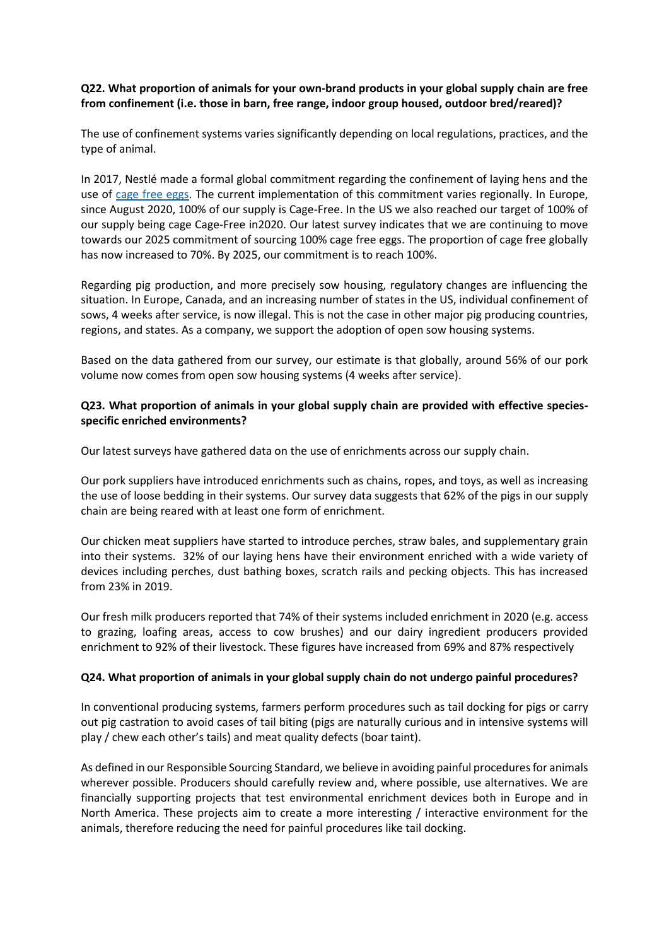### **Q22. What proportion of animals for your own-brand products in your global supply chain are free from confinement (i.e. those in barn, free range, indoor group housed, outdoor bred/reared)?**

The use of confinement systems varies significantly depending on local regulations, practices, and the type of animal.

In 2017, Nestlé made a formal global commitment regarding the confinement of laying hens and the use of [cage free eggs.](https://www.nestle.com/asset-library/documents/creating-shared-value/facts-figures-leaflet/nestle-cage-free-eggs-2025.pdf) The current implementation of this commitment varies regionally. In Europe, since August 2020, 100% of our supply is Cage-Free. In the US we also reached our target of 100% of our supply being cage Cage-Free in2020. Our latest survey indicates that we are continuing to move towards our 2025 commitment of sourcing 100% cage free eggs. The proportion of cage free globally has now increased to 70%. By 2025, our commitment is to reach 100%.

Regarding pig production, and more precisely sow housing, regulatory changes are influencing the situation. In Europe, Canada, and an increasing number of states in the US, individual confinement of sows, 4 weeks after service, is now illegal. This is not the case in other major pig producing countries, regions, and states. As a company, we support the adoption of open sow housing systems.

Based on the data gathered from our survey, our estimate is that globally, around 56% of our pork volume now comes from open sow housing systems (4 weeks after service).

### **Q23. What proportion of animals in your global supply chain are provided with effective speciesspecific enriched environments?**

Our latest surveys have gathered data on the use of enrichments across our supply chain.

Our pork suppliers have introduced enrichments such as chains, ropes, and toys, as well as increasing the use of loose bedding in their systems. Our survey data suggests that 62% of the pigs in our supply chain are being reared with at least one form of enrichment.

Our chicken meat suppliers have started to introduce perches, straw bales, and supplementary grain into their systems. 32% of our laying hens have their environment enriched with a wide variety of devices including perches, dust bathing boxes, scratch rails and pecking objects. This has increased from 23% in 2019.

Our fresh milk producers reported that 74% of their systems included enrichment in 2020 (e.g. access to grazing, loafing areas, access to cow brushes) and our dairy ingredient producers provided enrichment to 92% of their livestock. These figures have increased from 69% and 87% respectively

# **Q24. What proportion of animals in your global supply chain do not undergo painful procedures?**

In conventional producing systems, farmers perform procedures such as tail docking for pigs or carry out pig castration to avoid cases of tail biting (pigs are naturally curious and in intensive systems will play / chew each other's tails) and meat quality defects (boar taint).

As defined in our Responsible Sourcing Standard, we believe in avoiding painful procedures for animals wherever possible. Producers should carefully review and, where possible, use alternatives. We are financially supporting projects that test environmental enrichment devices both in Europe and in North America. These projects aim to create a more interesting / interactive environment for the animals, therefore reducing the need for painful procedures like tail docking.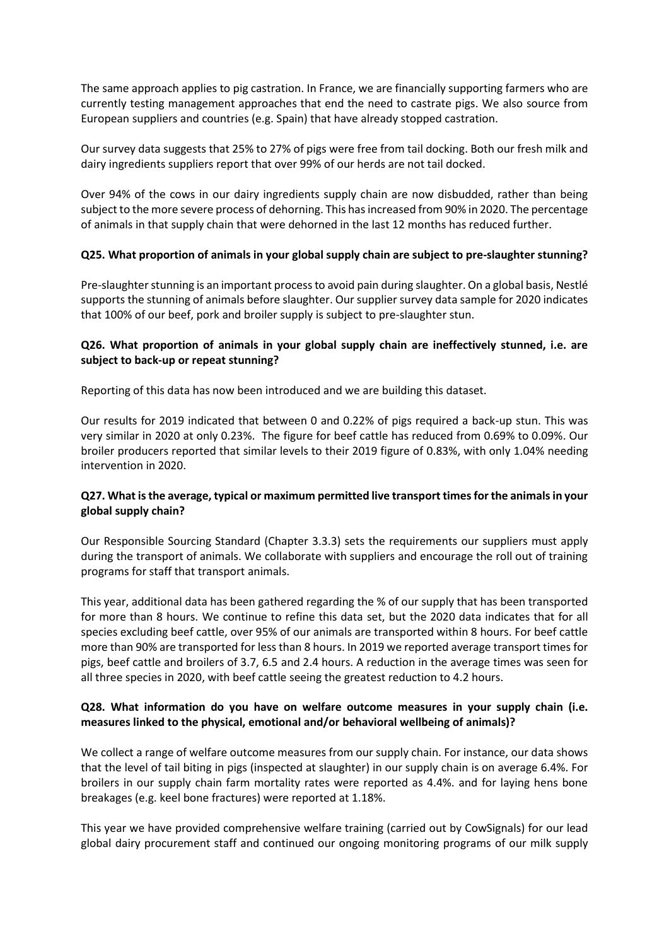The same approach applies to pig castration. In France, we are financially supporting farmers who are currently testing management approaches that end the need to castrate pigs. We also source from European suppliers and countries (e.g. Spain) that have already stopped castration.

Our survey data suggests that 25% to 27% of pigs were free from tail docking. Both our fresh milk and dairy ingredients suppliers report that over 99% of our herds are not tail docked.

Over 94% of the cows in our dairy ingredients supply chain are now disbudded, rather than being subject to the more severe process of dehorning. This has increased from 90% in 2020. The percentage of animals in that supply chain that were dehorned in the last 12 months has reduced further.

### **Q25. What proportion of animals in your global supply chain are subject to pre-slaughter stunning?**

Pre-slaughter stunning is an important process to avoid pain during slaughter. On a global basis, Nestlé supports the stunning of animals before slaughter. Our supplier survey data sample for 2020 indicates that 100% of our beef, pork and broiler supply is subject to pre-slaughter stun.

### **Q26. What proportion of animals in your global supply chain are ineffectively stunned, i.e. are subject to back-up or repeat stunning?**

Reporting of this data has now been introduced and we are building this dataset.

Our results for 2019 indicated that between 0 and 0.22% of pigs required a back-up stun. This was very similar in 2020 at only 0.23%. The figure for beef cattle has reduced from 0.69% to 0.09%. Our broiler producers reported that similar levels to their 2019 figure of 0.83%, with only 1.04% needing intervention in 2020.

### **Q27. What is the average, typical or maximum permitted live transport times for the animals in your global supply chain?**

Our Responsible Sourcing Standard (Chapter 3.3.3) sets the requirements our suppliers must apply during the transport of animals. We collaborate with suppliers and encourage the roll out of training programs for staff that transport animals.

This year, additional data has been gathered regarding the % of our supply that has been transported for more than 8 hours. We continue to refine this data set, but the 2020 data indicates that for all species excluding beef cattle, over 95% of our animals are transported within 8 hours. For beef cattle more than 90% are transported for less than 8 hours. In 2019 we reported average transport times for pigs, beef cattle and broilers of 3.7, 6.5 and 2.4 hours. A reduction in the average times was seen for all three species in 2020, with beef cattle seeing the greatest reduction to 4.2 hours.

### **Q28. What information do you have on welfare outcome measures in your supply chain (i.e. measures linked to the physical, emotional and/or behavioral wellbeing of animals)?**

We collect a range of welfare outcome measures from our supply chain. For instance, our data shows that the level of tail biting in pigs (inspected at slaughter) in our supply chain is on average 6.4%. For broilers in our supply chain farm mortality rates were reported as 4.4%. and for laying hens bone breakages (e.g. keel bone fractures) were reported at 1.18%.

This year we have provided comprehensive welfare training (carried out by CowSignals) for our lead global dairy procurement staff and continued our ongoing monitoring programs of our milk supply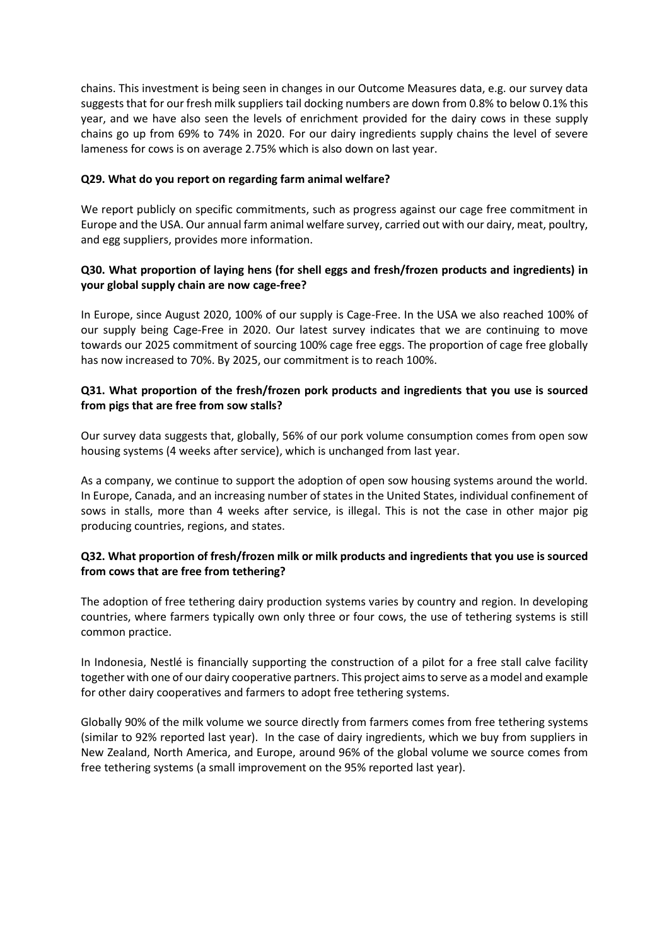chains. This investment is being seen in changes in our Outcome Measures data, e.g. our survey data suggests that for our fresh milk suppliers tail docking numbers are down from 0.8% to below 0.1% this year, and we have also seen the levels of enrichment provided for the dairy cows in these supply chains go up from 69% to 74% in 2020. For our dairy ingredients supply chains the level of severe lameness for cows is on average 2.75% which is also down on last year.

### **Q29. What do you report on regarding farm animal welfare?**

We report publicly on specific commitments, such as progress against our cage free commitment in Europe and the USA. Our annual farm animal welfare survey, carried out with our dairy, meat, poultry, and egg suppliers, provides more information.

# **Q30. What proportion of laying hens (for shell eggs and fresh/frozen products and ingredients) in your global supply chain are now cage-free?**

In Europe, since August 2020, 100% of our supply is Cage-Free. In the USA we also reached 100% of our supply being Cage-Free in 2020. Our latest survey indicates that we are continuing to move towards our 2025 commitment of sourcing 100% cage free eggs. The proportion of cage free globally has now increased to 70%. By 2025, our commitment is to reach 100%.

### **Q31. What proportion of the fresh/frozen pork products and ingredients that you use is sourced from pigs that are free from sow stalls?**

Our survey data suggests that, globally, 56% of our pork volume consumption comes from open sow housing systems (4 weeks after service), which is unchanged from last year.

As a company, we continue to support the adoption of open sow housing systems around the world. In Europe, Canada, and an increasing number of states in the United States, individual confinement of sows in stalls, more than 4 weeks after service, is illegal. This is not the case in other major pig producing countries, regions, and states.

# **Q32. What proportion of fresh/frozen milk or milk products and ingredients that you use is sourced from cows that are free from tethering?**

The adoption of free tethering dairy production systems varies by country and region. In developing countries, where farmers typically own only three or four cows, the use of tethering systems is still common practice.

In Indonesia, Nestlé is financially supporting the construction of a pilot for a free stall calve facility together with one of our dairy cooperative partners. This project aims to serve as a model and example for other dairy cooperatives and farmers to adopt free tethering systems.

Globally 90% of the milk volume we source directly from farmers comes from free tethering systems (similar to 92% reported last year). In the case of dairy ingredients, which we buy from suppliers in New Zealand, North America, and Europe, around 96% of the global volume we source comes from free tethering systems (a small improvement on the 95% reported last year).